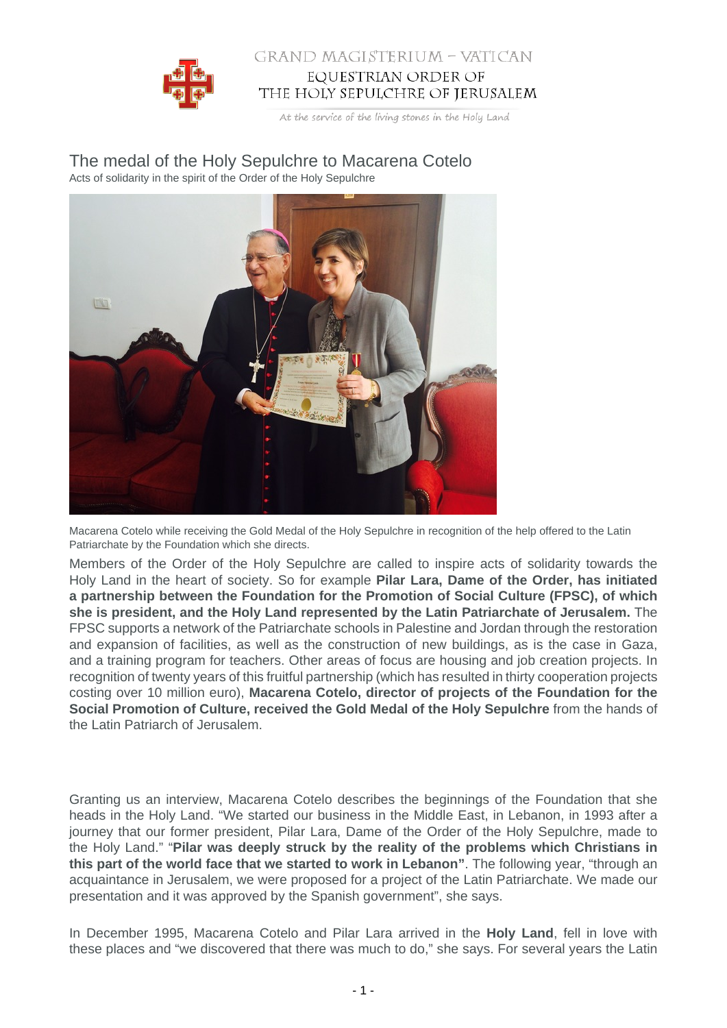

## GRAND MAGISTERIUM - VATICAN EQUESTRIAN ORDER OF THE HOLY SEPULCHRE OF JERUSALEM

At the service of the living stones in the Holy Land

The medal of the Holy Sepulchre to Macarena Cotelo Acts of solidarity in the spirit of the Order of the Holy Sepulchre



Macarena Cotelo while receiving the Gold Medal of the Holy Sepulchre in recognition of the help offered to the Latin Patriarchate by the Foundation which she directs.

Members of the Order of the Holy Sepulchre are called to inspire acts of solidarity towards the Holy Land in the heart of society. So for example **Pilar Lara, Dame of the Order, has initiated a partnership between the Foundation for the Promotion of Social Culture (FPSC), of which she is president, and the Holy Land represented by the Latin Patriarchate of Jerusalem.** The FPSC supports a network of the Patriarchate schools in Palestine and Jordan through the restoration and expansion of facilities, as well as the construction of new buildings, as is the case in Gaza, and a training program for teachers. Other areas of focus are housing and job creation projects. In recognition of twenty years of this fruitful partnership (which has resulted in thirty cooperation projects costing over 10 million euro), **Macarena Cotelo, director of projects of the Foundation for the Social Promotion of Culture, received the Gold Medal of the Holy Sepulchre** from the hands of the Latin Patriarch of Jerusalem.

Granting us an interview, Macarena Cotelo describes the beginnings of the Foundation that she heads in the Holy Land. "We started our business in the Middle East, in Lebanon, in 1993 after a journey that our former president, Pilar Lara, Dame of the Order of the Holy Sepulchre, made to the Holy Land." "**Pilar was deeply struck by the reality of the problems which Christians in this part of the world face that we started to work in Lebanon"**. The following year, "through an acquaintance in Jerusalem, we were proposed for a project of the Latin Patriarchate. We made our presentation and it was approved by the Spanish government", she says.

In December 1995, Macarena Cotelo and Pilar Lara arrived in the **Holy Land**, fell in love with these places and "we discovered that there was much to do," she says. For several years the Latin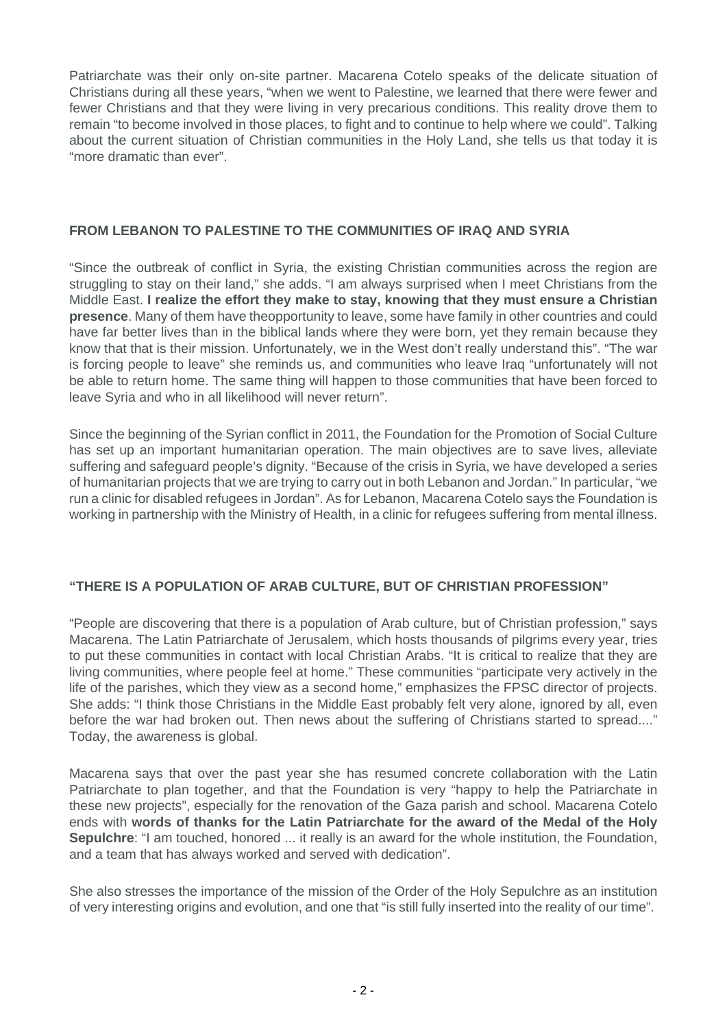Patriarchate was their only on-site partner. Macarena Cotelo speaks of the delicate situation of Christians during all these years, "when we went to Palestine, we learned that there were fewer and fewer Christians and that they were living in very precarious conditions. This reality drove them to remain "to become involved in those places, to fight and to continue to help where we could". Talking about the current situation of Christian communities in the Holy Land, she tells us that today it is "more dramatic than ever".

## **FROM LEBANON TO PALESTINE TO THE COMMUNITIES OF IRAQ AND SYRIA**

"Since the outbreak of conflict in Syria, the existing Christian communities across the region are struggling to stay on their land," she adds. "I am always surprised when I meet Christians from the Middle East. **I realize the effort they make to stay, knowing that they must ensure a Christian presence**. Many of them have theopportunity to leave, some have family in other countries and could have far better lives than in the biblical lands where they were born, yet they remain because they know that that is their mission. Unfortunately, we in the West don't really understand this". "The war is forcing people to leave" she reminds us, and communities who leave Iraq "unfortunately will not be able to return home. The same thing will happen to those communities that have been forced to leave Syria and who in all likelihood will never return".

Since the beginning of the Syrian conflict in 2011, the Foundation for the Promotion of Social Culture has set up an important humanitarian operation. The main objectives are to save lives, alleviate suffering and safeguard people's dignity. "Because of the crisis in Syria, we have developed a series of humanitarian projects that we are trying to carry out in both Lebanon and Jordan." In particular, "we run a clinic for disabled refugees in Jordan". As for Lebanon, Macarena Cotelo says the Foundation is working in partnership with the Ministry of Health, in a clinic for refugees suffering from mental illness.

## **"THERE IS A POPULATION OF ARAB CULTURE, BUT OF CHRISTIAN PROFESSION"**

"People are discovering that there is a population of Arab culture, but of Christian profession," says Macarena. The Latin Patriarchate of Jerusalem, which hosts thousands of pilgrims every year, tries to put these communities in contact with local Christian Arabs. "It is critical to realize that they are living communities, where people feel at home." These communities "participate very actively in the life of the parishes, which they view as a second home," emphasizes the FPSC director of projects. She adds: "I think those Christians in the Middle East probably felt very alone, ignored by all, even before the war had broken out. Then news about the suffering of Christians started to spread...." Today, the awareness is global.

Macarena says that over the past year she has resumed concrete collaboration with the Latin Patriarchate to plan together, and that the Foundation is very "happy to help the Patriarchate in these new projects", especially for the renovation of the Gaza parish and school. Macarena Cotelo ends with **words of thanks for the Latin Patriarchate for the award of the Medal of the Holy Sepulchre**: "I am touched, honored ... it really is an award for the whole institution, the Foundation, and a team that has always worked and served with dedication".

She also stresses the importance of the mission of the Order of the Holy Sepulchre as an institution of very interesting origins and evolution, and one that "is still fully inserted into the reality of our time".